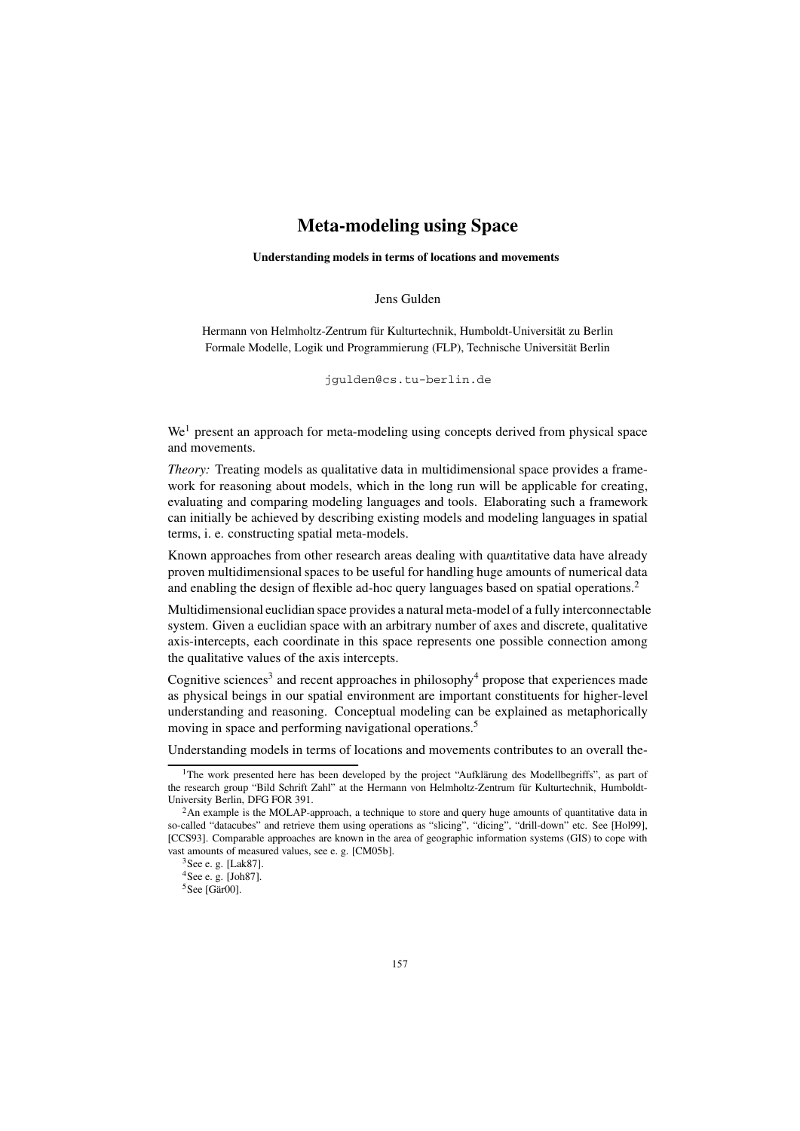## **Meta-modeling using Space**

## **Understanding models in terms of locations and movements**

## Jens Gulden

Hermann von Helmholtz-Zentrum für Kulturtechnik, Humboldt-Universität zu Berlin Formale Modelle, Logik und Programmierung (FLP), Technische Universität Berlin

jgulden@cs.tu-berlin.de

We<sup>1</sup> present an approach for meta-modeling using concepts derived from physical space and movements.

*Theory:* Treating models as qualitative data in multidimensional space provides a framework for reasoning about models, which in the long run will be applicable for creating, evaluating and comparing modeling languages and tools. Elaborating such a framework can initially be achieved by describing existing models and modeling languages in spatial terms, i. e. constructing spatial meta-models.

Known approaches from other research areas dealing with qua*n*titative data have already proven multidimensional spaces to be useful for handling huge amounts of numerical data and enabling the design of flexible ad-hoc query languages based on spatial operations. 2

Multidimensional euclidian space provides a natural meta-model of a fully interconnectable system. Given a euclidian space with an arbitrary number of axes and discrete, qualitative axis-intercepts, each coordinate in this space represents one possible connection among the qualitative values of the axis intercepts.

Cognitive sciences<sup>3</sup> and recent approaches in philosophy<sup>4</sup> propose that experiences made as physical beings in our spatial environment are important constituents for higher-level understanding and reasoning. Conceptual modeling can be explained as metaphorically moving in space and performing navigational operations. 5

Understanding models in terms of locations and movements contributes to an overall the-

<sup>&</sup>lt;sup>1</sup>The work presented here has been developed by the project "Aufklärung des Modellbegriffs", as part of the research group "Bild Schrift Zahl" at the Hermann von Helmholtz-Zentrum für Kulturtechnik, Humboldt-University Berlin, DFG FOR 391.

<sup>&</sup>lt;sup>2</sup>An example is the MOLAP-approach, a technique to store and query huge amounts of quantitative data in so-called "datacubes" and retrieve them using operations as "slicing", "dicing", "drill-down" etc. See [Hol99], [CCS93]. Comparable approaches are known in the area of geographic information systems (GIS) to cope with vast amounts of measured values, see e. g. [CM05b].

 $3$ See e. g. [Lak87].

<sup>4</sup>See e. g. [Joh87].

 $5$ See [Gär00].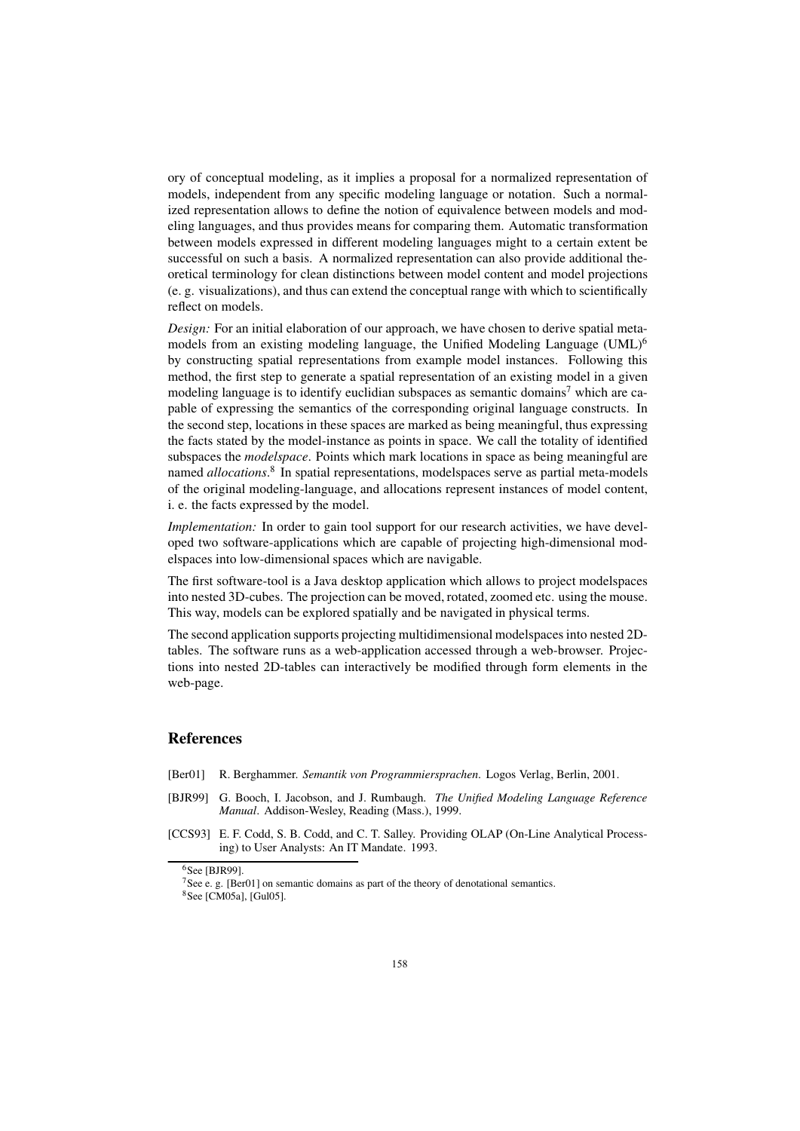ory of conceptual modeling, as it implies a proposal for a normalized representation of models, independent from any specific modeling language or notation. Such a normalized representation allows to define the notion of equivalence between models and modeling languages, and thus provides means for comparing them. Automatic transformation between models expressed in different modeling languages might to a certain extent be successful on such a basis. A normalized representation can also provide additional theoretical terminology for clean distinctions between model content and model projections (e. g. visualizations), and thus can extend the conceptual range with which to scientifically reflect on models.

*Design:* For an initial elaboration of our approach, we have chosen to derive spatial metamodels from an existing modeling language, the Unified Modeling Language (UML)<sup>6</sup> by constructing spatial representations from example model instances. Following this method, the first step to generate a spatial representation of an existing model in a given modeling language is to identify euclidian subspaces as semantic domains<sup>7</sup> which are capable of expressing the semantics of the corresponding original language constructs. In the second step, locations in these spaces are marked as being meaningful, thus expressing the facts stated by the model-instance as points in space. We call the totality of identified subspaces the *modelspace*. Points which mark locations in space as being meaningful are named *allocations*. 8 In spatial representations, modelspaces serve as partial meta-models of the original modeling-language, and allocations represent instances of model content, i. e. the facts expressed by the model.

*Implementation:* In order to gain tool support for our research activities, we have developed two software-applications which are capable of projecting high-dimensional modelspaces into low-dimensional spaces which are navigable.

The first software-tool is a Java desktop application which allows to project modelspaces into nested 3D-cubes. The projection can be moved, rotated, zoomed etc. using the mouse. This way, models can be explored spatially and be navigated in physical terms.

The second application supports projecting multidimensional modelspacesinto nested 2Dtables. The software runs as a web-application accessed through a web-browser. Projections into nested 2D-tables can interactively be modified through form elements in the web-page.

## **References**

- [Ber01] R. Berghammer. *Semantik von Programmiersprachen*. Logos Verlag, Berlin, 2001.
- [BJR99] G. Booch, I. Jacobson, and J. Rumbaugh. *The Unified Modeling Language Reference Manual*. Addison-Wesley, Reading (Mass.), 1999.
- [CCS93] E. F. Codd, S. B. Codd, and C. T. Salley. Providing OLAP (On-Line Analytical Processing) to User Analysts: An IT Mandate. 1993.

<sup>6</sup>See [BJR99].

<sup>7</sup>See e. g. [Ber01] on semantic domains as part of the theory of denotational semantics. <sup>8</sup>See [CM05a], [Gul05].